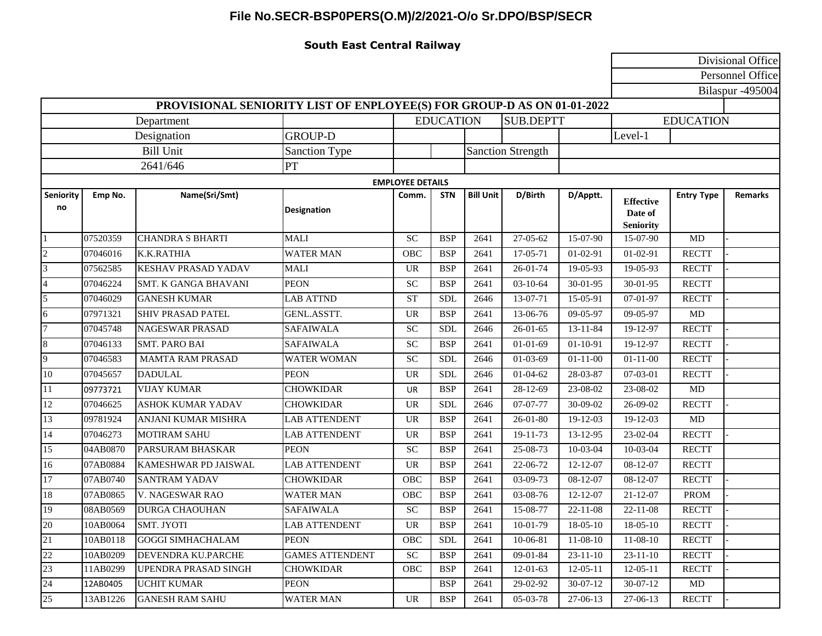## **File No.SECR-BSP0PERS(O.M)/2/2021-O/o Sr.DPO/BSP/SECR**

## **South East Central Railway**

|                                                                        |          |                             |                        |                                      |            |                  |                          | Divisional Office |                                                 |                   |                |  |  |
|------------------------------------------------------------------------|----------|-----------------------------|------------------------|--------------------------------------|------------|------------------|--------------------------|-------------------|-------------------------------------------------|-------------------|----------------|--|--|
|                                                                        |          |                             |                        |                                      |            |                  |                          |                   |                                                 | Personnel Office  |                |  |  |
|                                                                        |          | Bilaspur -495004            |                        |                                      |            |                  |                          |                   |                                                 |                   |                |  |  |
| PROVISIONAL SENIORITY LIST OF ENPLOYEE(S) FOR GROUP-D AS ON 01-01-2022 |          |                             |                        |                                      |            |                  |                          |                   |                                                 |                   |                |  |  |
| Department                                                             |          |                             |                        | <b>EDUCATION</b><br><b>SUB.DEPTT</b> |            |                  |                          | <b>EDUCATION</b>  |                                                 |                   |                |  |  |
| Designation                                                            |          |                             | <b>GROUP-D</b>         |                                      |            |                  |                          |                   | Level-1                                         |                   |                |  |  |
| <b>Bill Unit</b>                                                       |          |                             | Sanction Type          |                                      |            |                  | <b>Sanction Strength</b> |                   |                                                 |                   |                |  |  |
| 2641/646                                                               |          |                             | PT                     |                                      |            |                  |                          |                   |                                                 |                   |                |  |  |
| <b>EMPLOYEE DETAILS</b>                                                |          |                             |                        |                                      |            |                  |                          |                   |                                                 |                   |                |  |  |
| Seniority<br>no                                                        | Emp No.  | Name(Sri/Smt)               | <b>Designation</b>     | Comm.                                | <b>STN</b> | <b>Bill Unit</b> | D/Birth                  | D/Apptt.          | <b>Effective</b><br>Date of<br><b>Seniority</b> | <b>Entry Type</b> | <b>Remarks</b> |  |  |
|                                                                        | 07520359 | <b>CHANDRA S BHARTI</b>     | <b>MALI</b>            | SC                                   | <b>BSP</b> | 2641             | 27-05-62                 | 15-07-90          | 15-07-90                                        | MD                |                |  |  |
| $\sqrt{2}$                                                             | 07046016 | K.K.RATHIA                  | <b>WATER MAN</b>       | OBC                                  | <b>BSP</b> | 2641             | 17-05-71                 | $01-02-91$        | $01-02-91$                                      | <b>RECTT</b>      |                |  |  |
| 3                                                                      | 07562585 | <b>KESHAV PRASAD YADAV</b>  | <b>MALI</b>            | <b>UR</b>                            | <b>BSP</b> | 2641             | 26-01-74                 | 19-05-93          | 19-05-93                                        | <b>RECTT</b>      |                |  |  |
| $\overline{4}$                                                         | 07046224 | <b>SMT. K GANGA BHAVANI</b> | <b>PEON</b>            | SC                                   | <b>BSP</b> | 2641             | $03-10-64$               | 30-01-95          | 30-01-95                                        | <b>RECTT</b>      |                |  |  |
| 5                                                                      | 07046029 | <b>GANESH KUMAR</b>         | <b>LAB ATTND</b>       | <b>ST</b>                            | <b>SDL</b> | 2646             | 13-07-71                 | 15-05-91          | $07 - 01 - 97$                                  | <b>RECTT</b>      |                |  |  |
| 6                                                                      | 07971321 | <b>SHIV PRASAD PATEL</b>    | GENL.ASSTT.            | <b>UR</b>                            | <b>BSP</b> | 2641             | 13-06-76                 | 09-05-97          | 09-05-97                                        | MD                |                |  |  |
| $\overline{7}$                                                         | 07045748 | <b>NAGESWAR PRASAD</b>      | <b>SAFAIWALA</b>       | ${\rm SC}$                           | <b>SDL</b> | 2646             | $26 - 01 - 65$           | $13 - 11 - 84$    | 19-12-97                                        | <b>RECTT</b>      |                |  |  |
| $\,8\,$                                                                | 07046133 | <b>SMT. PARO BAI</b>        | <b>SAFAIWALA</b>       | SC                                   | <b>BSP</b> | 2641             | $01-01-69$               | $01-10-91$        | 19-12-97                                        | <b>RECTT</b>      |                |  |  |
| 9                                                                      | 07046583 | <b>MAMTA RAM PRASAD</b>     | <b>WATER WOMAN</b>     | SC                                   | <b>SDL</b> | 2646             | $01-03-69$               | $01 - 11 - 00$    | $01 - 11 - 00$                                  | <b>RECTT</b>      |                |  |  |
| 10                                                                     | 07045657 | <b>DADULAL</b>              | <b>PEON</b>            | $\ensuremath{\mathsf{UR}}\xspace$    | <b>SDL</b> | 2646             | $01 - 04 - 62$           | 28-03-87          | 07-03-01                                        | <b>RECTT</b>      |                |  |  |
| 11                                                                     | 09773721 | <b>VIJAY KUMAR</b>          | CHOWKIDAR              | <b>UR</b>                            | <b>BSP</b> | 2641             | 28-12-69                 | 23-08-02          | 23-08-02                                        | MD                |                |  |  |
| $12\,$                                                                 | 07046625 | <b>ASHOK KUMAR YADAV</b>    | <b>CHOWKIDAR</b>       | <b>UR</b>                            | <b>SDL</b> | 2646             | 07-07-77                 | 30-09-02          | 26-09-02                                        | <b>RECTT</b>      |                |  |  |
| 13                                                                     | 09781924 | <b>ANJANI KUMAR MISHRA</b>  | <b>LAB ATTENDENT</b>   | UR                                   | <b>BSP</b> | 2641             | $26 - 01 - 80$           | $19-12-03$        | 19-12-03                                        | MD                |                |  |  |
| 14                                                                     | 07046273 | <b>MOTIRAM SAHU</b>         | <b>LAB ATTENDENT</b>   | <b>UR</b>                            | <b>BSP</b> | 2641             | 19-11-73                 | 13-12-95          | 23-02-04                                        | <b>RECTT</b>      |                |  |  |
| 15                                                                     | 04AB0870 | PARSURAM BHASKAR            | <b>PEON</b>            | SC                                   | <b>BSP</b> | 2641             | 25-08-73                 | 10-03-04          | 10-03-04                                        | <b>RECTT</b>      |                |  |  |
| 16                                                                     | 07AB0884 | KAMESHWAR PD JAISWAL        | <b>LAB ATTENDENT</b>   | <b>UR</b>                            | <b>BSP</b> | 2641             | 22-06-72                 | $12 - 12 - 07$    | 08-12-07                                        | <b>RECTT</b>      |                |  |  |
| 17                                                                     | 07AB0740 | <b>SANTRAM YADAV</b>        | <b>CHOWKIDAR</b>       | OBC                                  | <b>BSP</b> | 2641             | 03-09-73                 | 08-12-07          | 08-12-07                                        | <b>RECTT</b>      |                |  |  |
| $18\,$                                                                 | 07AB0865 | V. NAGESWAR RAO             | <b>WATER MAN</b>       | OBC                                  | <b>BSP</b> | 2641             | 03-08-76                 | $12 - 12 - 07$    | $21 - 12 - 07$                                  | <b>PROM</b>       |                |  |  |
| 19                                                                     | 08AB0569 | <b>DURGA CHAOUHAN</b>       | <b>SAFAIWALA</b>       | SC                                   | <b>BSP</b> | 2641             | 15-08-77                 | $22 - 11 - 08$    | $22 - 11 - 08$                                  | <b>RECTT</b>      |                |  |  |
| 20                                                                     | 10AB0064 | <b>SMT. JYOTI</b>           | <b>LAB ATTENDENT</b>   | UR.                                  | <b>BSP</b> | 2641             | $10-01-79$               | $18-05-10$        | $18-05-10$                                      | RECTT             |                |  |  |
| $\overline{21}$                                                        | 10AB0118 | <b>GOGGI SIMHACHALAM</b>    | <b>PEON</b>            | OBC                                  | <b>SDL</b> | 2641             | 10-06-81                 | $11-08-10$        | $11-08-10$                                      | <b>RECTT</b>      |                |  |  |
| 22                                                                     | 10AB0209 | DEVENDRA KU.PARCHE          | <b>GAMES ATTENDENT</b> | <b>SC</b>                            | <b>BSP</b> | 2641             | 09-01-84                 | $23 - 11 - 10$    | $23 - 11 - 10$                                  | <b>RECTT</b>      |                |  |  |
| 23                                                                     | 11AB0299 | UPENDRA PRASAD SINGH        | <b>CHOWKIDAR</b>       | OBC                                  | <b>BSP</b> | 2641             | $12-01-63$               | $12-05-11$        | $12-05-11$                                      | <b>RECTT</b>      |                |  |  |
| 24                                                                     | 12AB0405 | <b>UCHIT KUMAR</b>          | <b>PEON</b>            |                                      | BSP        | 2641             | 29-02-92                 | $30-07-12$        | $30-07-12$                                      | MD                |                |  |  |
| 25                                                                     | 13AB1226 | <b>GANESH RAM SAHU</b>      | <b>WATER MAN</b>       | UR                                   | <b>BSP</b> | 2641             | $05-03-78$               | 27-06-13          | $27-06-13$                                      | <b>RECTT</b>      |                |  |  |